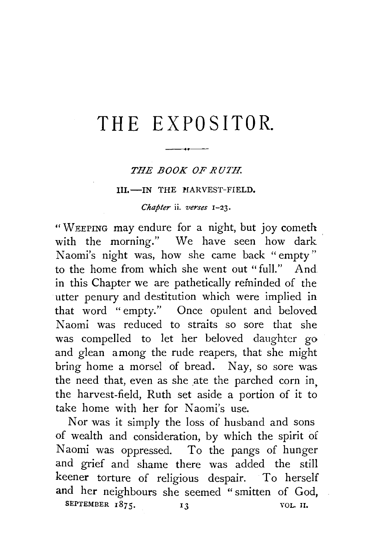## **THE EXPOSITOR.**

## **THE BOOK OF RUTH.**

 $\overline{\phantom{a}}$ 

## III.-IN THE MARVEST-FIELD.

*Chapter* ii. *verses* r-23.

"WEEPING may endure for a night, but joy cometh with the morning." We have seen how dark Naomi's night was, how she came back "empty" to the home from which she went out "full." And in this Chapter we are pathetically reminded of the utter penury and destitution which were implied in that word "empty." Once opulent and beloved Naomi was reduced to straits so sore that she was compelled to let her beloved daughter go and glean among the rude reapers, that she might bring home a morsel of bread. Nay, so sore was the need that, even as she ate the parched corn in, the harvest-field, Ruth set aside a portion of it to take home with her for Naomi's use.

Nor was it simply the loss of husband and sons of wealth and consideration, by which the spirit of Naomi was oppressed. To the pangs of hunger and grief and shame there was added the still keener torture of religious despair. To herself and her neighbours she seemed "smitten of God, SEPTEMBER  $1875.$  13 VOL. II.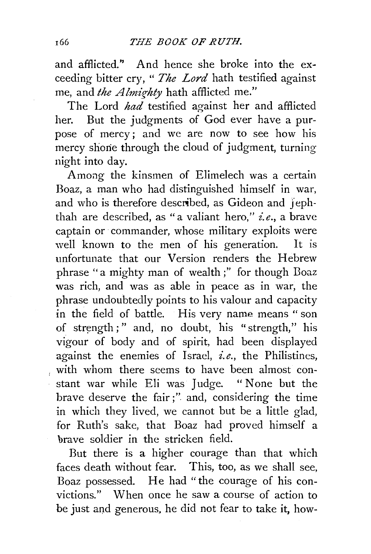and afflicted." And hence she broke into the exceeding bitter cry, " *The Lord* hath testified against me, and *the Almighty* hath afflicted me."

The Lord *had* testified against her and afflicted her. But the judgments of God ever have a purpose of mercy; and we are now to see how his mercy shone through the cloud of judgment, turning night into day.

Among the kinsmen of Elimelech was a certain Boaz, a man who had distinguished himself in war, and who is therefore described, as Gideon and Jephthah are described, as "a valiant hero," *i.e.,* a brave captain or commander, whose military exploits were well known to the men of his generation. It is unfortunate that our Version renders the Hebrew phrase" a mighty man of wealth;" for though Boaz was rich, and was as able in peace as in war, the phrase undoubtedly points to his valour and capacity in the field of battle. His very name means "son of strength;" and, no doubt, his " strength," his vigour of body and of spirit, had been displayed against the enemies of Israel, *i.e.,* the Philistines, with whom there seems to have been almost constant war while Eli was Judge. " None but the brave deserve the fair;" and, considering the time in which they lived, we cannot but be a little glad, for Ruth's sake, that Boaz had proved himself a brave soldier in the stricken field.

But there is a higher courage than that which faces death without fear. This, too, as we shall see, Boaz possessed. He had "the courage of his convictions." When once he saw a course of action to be just and generous, he did not fear to take it, how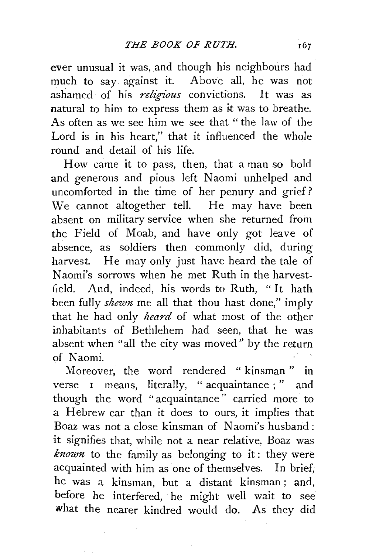ever unusual it was, and though his neighbours had much to say against it. Above all, he was not ashamed of his *religious* convictions. It was as natural to him to express them as it was to breathe. As often as we see him we see that " the law of the Lord is in his heart," that it influenced the whole round and detail of his life.

How came it to pass, then, that a man so bold and generous and pious left Naomi unhelped and uncomforted in the time of her penury and grief? We cannot altogether tell. He may have been absent on military service when she returned from the Field of Moab, and have only got leave of absence, as soldiers then commonly did, during harvest. He may only just have heard the tale of Naomi's sorrows when he met Ruth in the harvestfield. And, indeed, his words to Ruth, " It hath been fully *shewn* me all that thou hast done," imply that he had only *heard* of what most of the other inhabitants of Bethlehem had seen, that he was absent when "all the city was moved" by the return of Naomi.

Moreover, the word rendered " kinsman " in verse 1 means, literally, " acquaintance ; " and though the word "acquaintance" carried more to a Hebrew ear than it does to ours, it implies that Boaz was not a close kinsman of N aomi's husband: it signifies that, while not a near relative, Boaz was  $known$  to the family as belonging to it: they were acquainted with him as one of themselves. In brief, he was a kinsman, but a distant kinsman ; and, before he interfered, he might well wait to see what the nearer kindred would do. As they did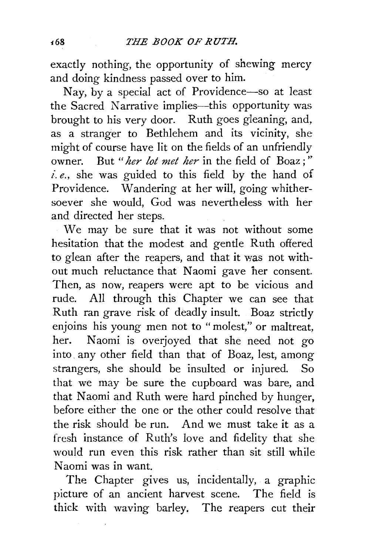exactly nothing, the opportunity of shewing mercy and doing kindness passed over to him.

Nay, by a special act of Providence-so at least the Sacred Narrative implies---this opportunity was brought to his very door. Ruth goes gleaning, and, as a stranger to Bethlehem and its vicinity, she might of course have lit on the fields of an unfriendly owner. But *"her lot met her* in the field of Boaz ; " *i.e.,* she was guided to this field by the hand of Providence. Wandering at her will, going whithersoever she would, God was nevertheless with her and directed her steps.

 $W$ e may be sure that it was not without some hesitation that the modest and gentle Ruth offered to glean after the reapers, and that it was not without much reluctance that Naomi gave her consent. Then, as now, reapers were apt to be vicious and rude. All through this Chapter we can see that Ruth ran grave risk of deadly insult. Boaz strictly enjoins his young men not to "molest," or maltreat, her. Naomi is overjoyed that she need not go into. any other field than that of Boaz, lest, among strangers, she should be insulted or injured. So that we may be sure the cupboard was bare, and that Naomi and Ruth were hard pinched by hunger, before either the one or the other could resolve that the risk should be run. And we must take it as a fresh instance of Ruth's love and fidelity that she would run even this risk rather than sit still while Naomi was in want.

The Chapter gives us, incidentally, a graphic picture of an ancient harvest scene. The field is thick with waving barley. The reapers cut their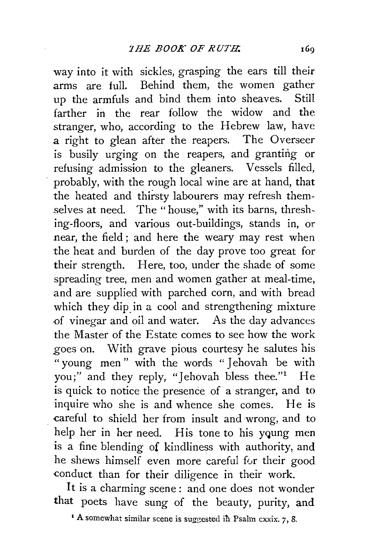way into it with sickles, grasping the ears till their .arms are full. Behind them, the women gather up the armfuls and bind them into sheaves. Still farther in the rear follow the widow and the stranger, who, according to the Hebrew law, have .a right to glean after the reapers. The Overseer is busily urging on the reapers, and granting or refusing admission to the gleaners. Vessels filled, probably, with the rough local wine are at hand, that the heated and thirsty labourers may refresh themselves at need. The "house," with its barns, threshing-floors, and various out-buildings, stands in, or near, the field; and here the weary may rest when the heat and burden of the day prove too great for their strength. Here, too, under the shade of some spreading tree, men and women gather at meal-time, and are supplied with parched corn, and with bread which they dip in a cool and strengthening mixture {)f vinegar and oil and water. As the day advances the Master of the Estate comes to see how the work goes on. With grave pious courtesy he salutes his " young men" with the words " Jehovah be with you;" and they reply, "Jehovah bless thee."<sup>1</sup> He is quick to notice the presence of a stranger, and to inquire who she is and whence she comes. He is careful to shield her from insult and wrong, and to help her in her need. His tone to his yQung men is a fine blending of kindliness with authority, and he shews himself even more careful for their good conduct than for their diligence in their work.

It is a charming scene : and one does not wonder that poets have sung of the beauty, purity, and

 $\cdot$  A somewhat similar scene is suggested in Psalm cxxix. 7, 8.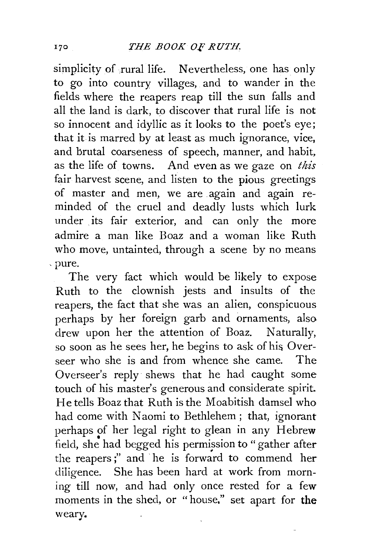simplicity of ,rural life. Nevertheless, one has only to go into country villages, and to wander in the fields where the reapers reap till the sun falls and all the land is dark, to discover that rural life is not so innocent and idyllic as it looks to the poet's eye; that it is marred by at least as much ignorance, vice, and brutal coarseness of speech, manner, and habit, as the life of towns. And even as we gaze on *this*  fair harvest scene, and listen to the pious greetings of master and men, we are again and again reminded of the cruel and deadly lusts which lurk under its fair exterior, and can only the more admire a man like Boaz and a woman like Ruth who move, untainted, through a scene by no means , pure.

The very fact which would be likely to expose Ruth to the clownish jests and insults of the reapers, the fact that she was an alien, conspicuous perhaps by her foreign garb and ornaments, also drew upon her the attention of Boaz. Naturally, so soon as he sees her, he begins to ask of his Overseer who she is and from whence she came. The Overseer's reply shews that he had caught some touch of his master's generous and considerate spirit. He tells Boaz that Ruth is the Moabitish damsel who had come with Naomi to Bethlehem; that, ignorant perhaps of her legal right to glean in any Hebrew field, she had begged his permission to "gather after the reapers;" and he is forward to commend her diligence. She has been hard at work from morning till now, and had only once rested for a few moments in the shed, or " house," set apart for **the**  weary.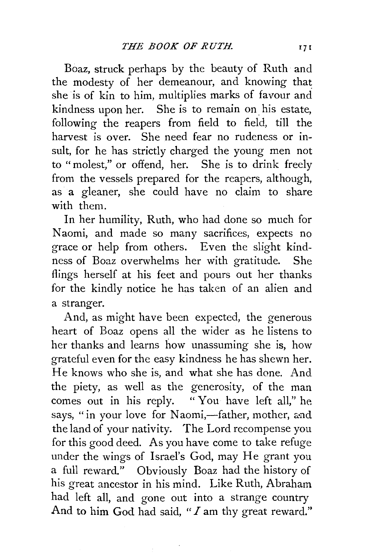Boaz, struck perhaps by the beauty of Ruth and the modesty of her demeanour, and knowing that she is of kin to him, multiplies marks of favour and kindness upon her. She is to remain on his estate, following the reapers from field to field, till the harvest is over. She need fear no rudeness or insult, for he has strictly charged the young men not to " molest," or offend, her. She is to drink freely from the vessels prepared for the reapers, although, as a gleaner, she could have no claim to share with them.

In her humility, Ruth, who had done so much for Naomi, and made so many sacrifices, expects no grace or help from others. Even the slight kindness of Boaz overwhelms her with gratitude. She flings herself at his feet and pours out her thanks for the kindly notice he has taken of an alien and a stranger.

And, as might have been expected, the generous heart of Boaz opens all the wider as he listens to her thanks and learns how unassuming she is, how grateful even for the easy kindness he has shewn her. He knows who she is, and what she has done. And the piety, as well as the generosity, of the man comes out in his reply. "You have left all," he says, "in your love for Naomi,-father, mother, and the land of your nativity. The Lord recompense you for this good deed. As you have come to take refuge under the wings of Israel's God, may He grant you a full reward." Obviously Boaz had the history of his great ancestor in his mind. Like Ruth, Abraham had left all, and gone out into a strange country And to him God had said, "*I* am thy great reward."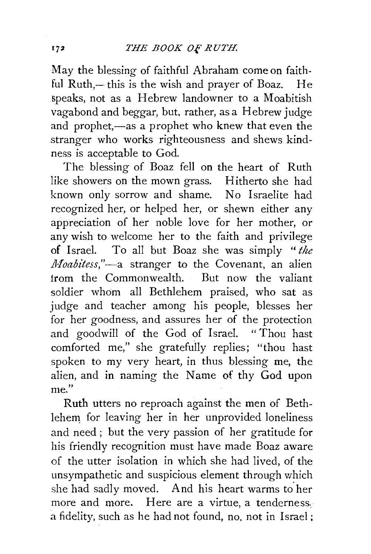May the blessing of faithful Abraham come on faithful Ruth, $-$ this is the wish and prayer of Boaz. He speaks, not as a Hebrew landowner to a Moabitish vagabond and beggar, but, rather, as a Hebrew judge and prophet,-as a prophet who knew that even the stranger who works righteousness and shews kindness is acceptable to God.

The blessing of Boaz fell on the heart of Ruth like showers on the mown grass. Hitherto she had known only sorrow and shame. No Israelite had recognized her, or helped her, or shewn either any appreciation of her noble love for her mother, or any wish to welcome her to the faith and privilege of Israel. To all but Boaz she was simply *"the Moabitess,"*-a stranger to the Covenant, an alien from the Commonwealth. But now the valiant soldier whom all Bethlehem praised, who sat as judge and teacher among his people, blesses her for her goodness, and assures her of the protection and goodwill of the God of Israel. " Thou hast comforted me," she gratefully replies; "thou hast spoken to my very heart, in thus blessing me, the alien, and in naming the Name of thy God upon me."

Ruth utters no reproach against the men of Bethlehem for leaving her in her unprovided loneliness and need ; but the very passion of her gratitude for his friendly recognition must have made Boaz aware of the utter isolation in which she had lived, of the unsympathetic and suspicious element through which she had sadly moved. And his heart warms to her more and more. Here are a virtue, a tenderness. a fidelity, such as he had not found, no, not in Israel ;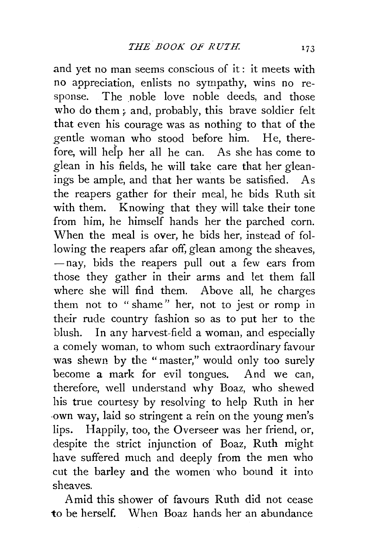and yet no man seems conscious of it : it meets with no appreciation, enlists no sympathy, wins no response. The noble love noble deeds, and those who do them; and, probably, this brave soldier felt that even his courage was as nothing to that of the \_gentle woman who stood before him. He, therefore, will hei'p her all he can. As she has come to glean in his fields, he will take care that her gleanings be ample, and that her wants be satisfied. As the reapers gather for their meal, he bids Ruth sit with them. Knowing that they will take their tone from him, he himself hands her the parched corn. When the meal is over, he bids her, instead of following the reapers afar off, glean among the sheaves,  $-$ nay, bids the reapers pull out a few ears from those they gather in their arms and let them fall where she will find them. Above all, he charges them not to " shame" her, not to jest or romp in their rude country fashion so as to put her to the blush. In any harvest-field a woman, and especially a comely woman, to whom such extraordinary favour was shewn by the "master," would only too surely become a mark for evil tongues. And we can, therefore, well understand why Boaz, who shewed his true courtesy by resolving to help Ruth in her -own way, laid so stringent a rein on the young men's lips. Happily, too, the Overseer was her friend, or, despite the strict injunction of Boaz, Ruth might have suffered much and deeply from the men who cut the barley and the women who bound it into sheaves.

Amid this shower of favours Ruth did not cease to be herself. When Boaz hands her an abundance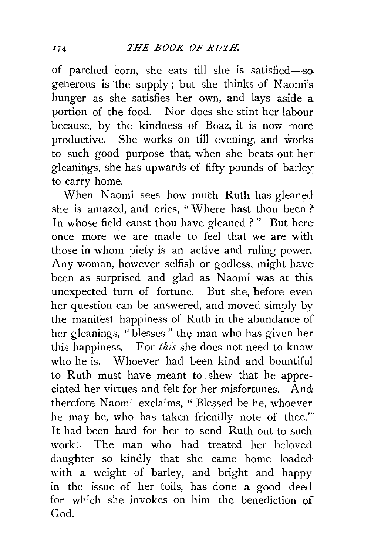of parched corn, she eats till she is satisfied-so generous is the supply; but she thinks of Naomi's hunger as she satisfies her own, and lays aside a portion of the food. Nor does she stint her labour because, by the kindness of Boaz, it is now more productive. She works on till evening, and works to such good purpose that, when she beats out her gleanings, she has upwards of fifty pounds of barley to carry home.

When Naomi sees how much Ruth has gleaned she is amazed, and cries, " Where hast thou been ? In whose field canst thou have gleaned ? " But here once more we are made to feel that we are with those in whom piety is an active and ruling power. Any woman, however selfish or godless, might have been as surprised and glad as Naomi was at this unexpected turn of fortune. But she, before even her question can be answered, and moved simply by the manifest happiness of Ruth in the abundance of her gleanings, "blesses" the man who has given her this happiness. For *this* she does not need to know who he is. Whoever had been kind and bountiful to Ruth must have meant to shew that he appreciated her virtues and felt for her misfortunes. And therefore Naomi exclaims, "Blessed be he, whoever he may be, who has taken friendly note of thee." It had been hard for her to send Ruth out to such work:- The man who had treated her beloved daughter so kindly that she came home loaded with a weight of barley, and bright and happy in the issue of her toils, has done a good deed for which she invokes on him the benediction of God.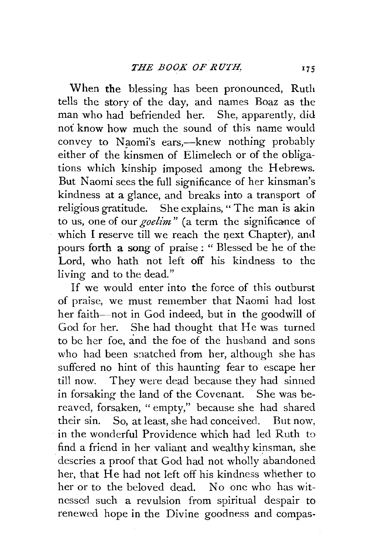When the blessing has been pronounced, Ruth tells the story of the day, and names Boaz as the man who had befriended her. She, apparently, did nof know how much the sound of this name would convey to Naomi's ears.—knew nothing probably either of the kinsmen of Elimelech or of the obligations which kinship imposed among the Hebrews. But Naomi sees the full significance of her kinsman's kindness at a glance, and breaks into a transport of religious gratitude. She explains, "The man is akin to us, one of our *goelim*" (a term the significance of which I reserve till we reach the next Chapter), and pours forth a song of praise : " Blessed be he of the Lord, who hath not left off his kindness to the living and to the dead."

If we would enter into the force of this outburst of praise, we must remember that Naomi had lost her faith-not in God indeed, but in the goodwill of God for her. She had thought that He was turned to be her foe, and the foe of the husband and sons who had been snatched from her, although she has suffered no hint of this haunting fear to escape her till now. They were dead because they had sinned in forsaking the land of the Covenant. She was bereaved, forsaken, " empty," because she had shared their sin. So, at least, she had conceived. But now, in the wonderful Providence which had led Ruth *ta*  find a friend in her valiant and wealthy kinsman, she descries a proof that God had not wholly abandoned her, that He had not left off his kindness whether to her or to the beloved dead. No one who has witnessed such a revulsion from spiritual despair to renewed hope in the Divine goodness and compas